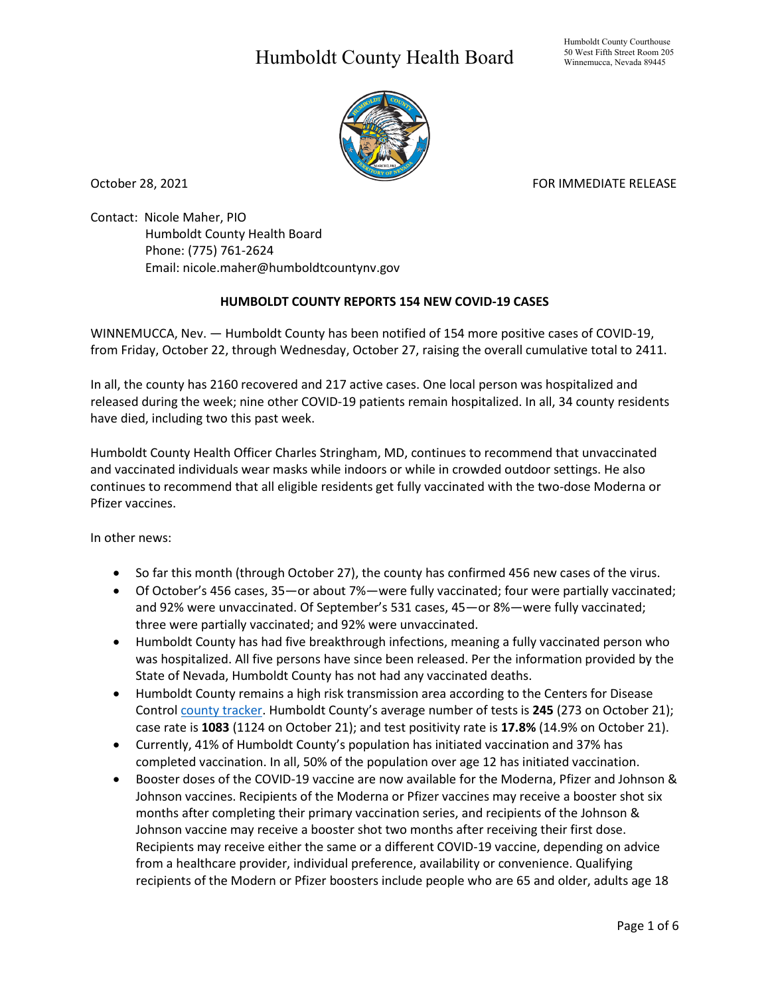## Humboldt County Health Board



October 28, 2021 **FOR IMMEDIATE RELEASE** 

Contact: Nicole Maher, PIO Humboldt County Health Board Phone: (775) 761-2624 Email: nicole.maher@humboldtcountynv.gov

## **HUMBOLDT COUNTY REPORTS 154 NEW COVID-19 CASES**

WINNEMUCCA, Nev. — Humboldt County has been notified of 154 more positive cases of COVID-19, from Friday, October 22, through Wednesday, October 27, raising the overall cumulative total to 2411.

In all, the county has 2160 recovered and 217 active cases. One local person was hospitalized and released during the week; nine other COVID-19 patients remain hospitalized. In all, 34 county residents have died, including two this past week.

Humboldt County Health Officer Charles Stringham, MD, continues to recommend that unvaccinated and vaccinated individuals wear masks while indoors or while in crowded outdoor settings. He also continues to recommend that all eligible residents get fully vaccinated with the two-dose Moderna or Pfizer vaccines.

In other news:

- So far this month (through October 27), the county has confirmed 456 new cases of the virus.
- Of October's 456 cases, 35—or about 7%—were fully vaccinated; four were partially vaccinated; and 92% were unvaccinated. Of September's 531 cases, 45—or 8%—were fully vaccinated; three were partially vaccinated; and 92% were unvaccinated.
- Humboldt County has had five breakthrough infections, meaning a fully vaccinated person who was hospitalized. All five persons have since been released. Per the information provided by the State of Nevada, Humboldt County has not had any vaccinated deaths.
- Humboldt County remains a high risk transmission area according to the Centers for Disease Control [county tracker.](https://covid.cdc.gov/covid-data-tracker/#county-view) Humboldt County's average number of tests is **245** (273 on October 21); case rate is **1083** (1124 on October 21); and test positivity rate is **17.8%** (14.9% on October 21).
- Currently, 41% of Humboldt County's population has initiated vaccination and 37% has completed vaccination. In all, 50% of the population over age 12 has initiated vaccination.
- Booster doses of the COVID-19 vaccine are now available for the Moderna, Pfizer and Johnson & Johnson vaccines. Recipients of the Moderna or Pfizer vaccines may receive a booster shot six months after completing their primary vaccination series, and recipients of the Johnson & Johnson vaccine may receive a booster shot two months after receiving their first dose. Recipients may receive either the same or a different COVID-19 vaccine, depending on advice from a healthcare provider, individual preference, availability or convenience. Qualifying recipients of the Modern or Pfizer boosters include people who are 65 and older, adults age 18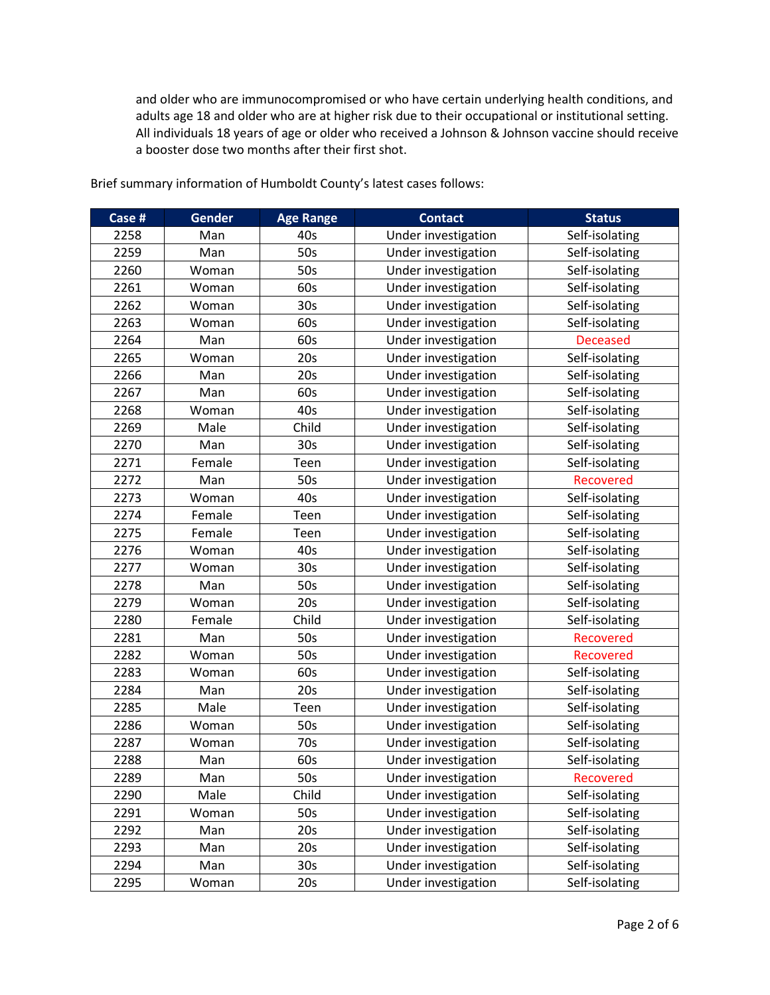and older who are immunocompromised or who have certain underlying health conditions, and adults age 18 and older who are at higher risk due to their occupational or institutional setting. All individuals 18 years of age or older who received a Johnson & Johnson vaccine should receive a booster dose two months after their first shot.

| Case # | Gender | <b>Age Range</b> | <b>Contact</b>      | <b>Status</b>    |
|--------|--------|------------------|---------------------|------------------|
| 2258   | Man    | 40s              | Under investigation | Self-isolating   |
| 2259   | Man    | 50s              | Under investigation | Self-isolating   |
| 2260   | Woman  | 50s              | Under investigation | Self-isolating   |
| 2261   | Woman  | 60s              | Under investigation | Self-isolating   |
| 2262   | Woman  | 30 <sub>s</sub>  | Under investigation | Self-isolating   |
| 2263   | Woman  | 60s              | Under investigation | Self-isolating   |
| 2264   | Man    | 60s              | Under investigation | <b>Deceased</b>  |
| 2265   | Woman  | 20s              | Under investigation | Self-isolating   |
| 2266   | Man    | 20s              | Under investigation | Self-isolating   |
| 2267   | Man    | 60s              | Under investigation | Self-isolating   |
| 2268   | Woman  | 40s              | Under investigation | Self-isolating   |
| 2269   | Male   | Child            | Under investigation | Self-isolating   |
| 2270   | Man    | 30s              | Under investigation | Self-isolating   |
| 2271   | Female | Teen             | Under investigation | Self-isolating   |
| 2272   | Man    | 50s              | Under investigation | <b>Recovered</b> |
| 2273   | Woman  | 40s              | Under investigation | Self-isolating   |
| 2274   | Female | Teen             | Under investigation | Self-isolating   |
| 2275   | Female | Teen             | Under investigation | Self-isolating   |
| 2276   | Woman  | 40s              | Under investigation | Self-isolating   |
| 2277   | Woman  | 30s              | Under investigation | Self-isolating   |
| 2278   | Man    | 50s              | Under investigation | Self-isolating   |
| 2279   | Woman  | 20s              | Under investigation | Self-isolating   |
| 2280   | Female | Child            | Under investigation | Self-isolating   |
| 2281   | Man    | 50s              | Under investigation | <b>Recovered</b> |
| 2282   | Woman  | 50s              | Under investigation | Recovered        |
| 2283   | Woman  | 60s              | Under investigation | Self-isolating   |
| 2284   | Man    | 20s              | Under investigation | Self-isolating   |
| 2285   | Male   | Teen             | Under investigation | Self-isolating   |
| 2286   | Woman  | 50s              | Under investigation | Self-isolating   |
| 2287   | Woman  | 70s              | Under investigation | Self-isolating   |
| 2288   | Man    | 60s              | Under investigation | Self-isolating   |
| 2289   | Man    | 50s              | Under investigation | Recovered        |
| 2290   | Male   | Child            | Under investigation | Self-isolating   |
| 2291   | Woman  | 50s              | Under investigation | Self-isolating   |
| 2292   | Man    | 20s              | Under investigation | Self-isolating   |
| 2293   | Man    | 20s              | Under investigation | Self-isolating   |
| 2294   | Man    | 30s              | Under investigation | Self-isolating   |
| 2295   | Woman  | 20s              | Under investigation | Self-isolating   |

Brief summary information of Humboldt County's latest cases follows: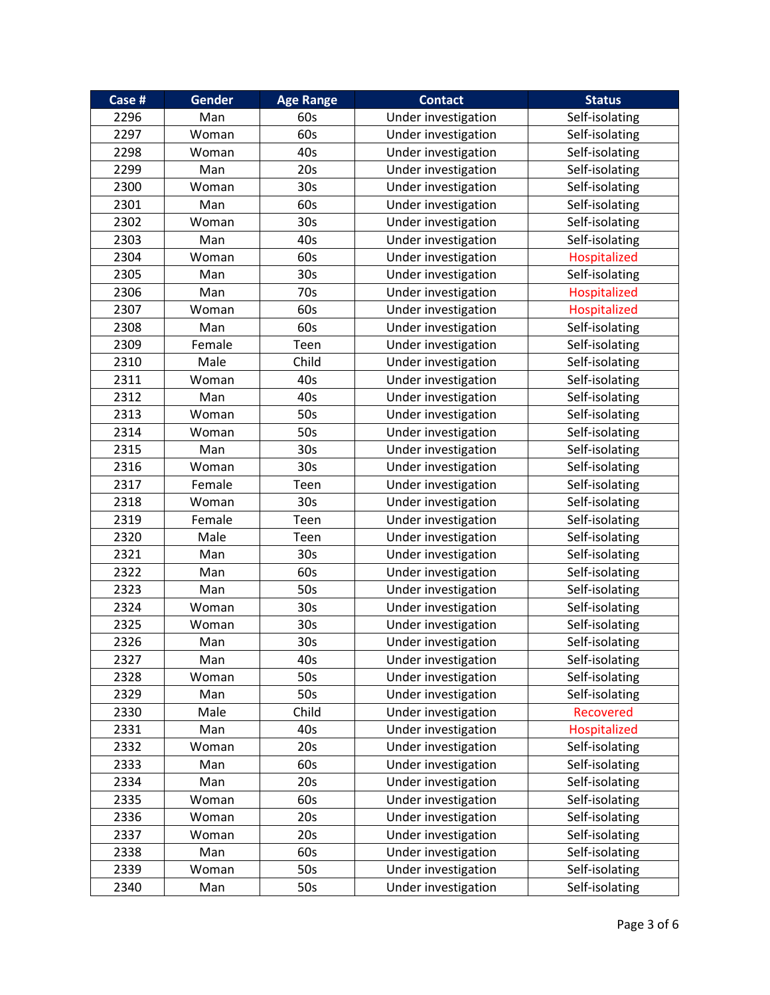| Case # | <b>Gender</b> | <b>Age Range</b> | <b>Contact</b>      | <b>Status</b>  |
|--------|---------------|------------------|---------------------|----------------|
| 2296   | Man           | 60s              | Under investigation | Self-isolating |
| 2297   | Woman         | 60s              | Under investigation | Self-isolating |
| 2298   | Woman         | 40s              | Under investigation | Self-isolating |
| 2299   | Man           | 20s              | Under investigation | Self-isolating |
| 2300   | Woman         | 30s              | Under investigation | Self-isolating |
| 2301   | Man           | 60s              | Under investigation | Self-isolating |
| 2302   | Woman         | 30 <sub>s</sub>  | Under investigation | Self-isolating |
| 2303   | Man           | 40s              | Under investigation | Self-isolating |
| 2304   | Woman         | 60s              | Under investigation | Hospitalized   |
| 2305   | Man           | 30 <sub>s</sub>  | Under investigation | Self-isolating |
| 2306   | Man           | 70s              | Under investigation | Hospitalized   |
| 2307   | Woman         | 60s              | Under investigation | Hospitalized   |
| 2308   | Man           | 60s              | Under investigation | Self-isolating |
| 2309   | Female        | Teen             | Under investigation | Self-isolating |
| 2310   | Male          | Child            | Under investigation | Self-isolating |
| 2311   | Woman         | 40s              | Under investigation | Self-isolating |
| 2312   | Man           | 40s              | Under investigation | Self-isolating |
| 2313   | Woman         | 50s              | Under investigation | Self-isolating |
| 2314   | Woman         | 50s              | Under investigation | Self-isolating |
| 2315   | Man           | 30 <sub>s</sub>  | Under investigation | Self-isolating |
| 2316   | Woman         | 30s              | Under investigation | Self-isolating |
| 2317   | Female        | Teen             | Under investigation | Self-isolating |
| 2318   | Woman         | 30 <sub>s</sub>  | Under investigation | Self-isolating |
| 2319   | Female        | Teen             | Under investigation | Self-isolating |
| 2320   | Male          | Teen             | Under investigation | Self-isolating |
| 2321   | Man           | 30 <sub>s</sub>  | Under investigation | Self-isolating |
| 2322   | Man           | 60s              | Under investigation | Self-isolating |
| 2323   | Man           | 50s              | Under investigation | Self-isolating |
| 2324   | Woman         | 30s              | Under investigation | Self-isolating |
| 2325   | Woman         | 30s              | Under investigation | Self-isolating |
| 2326   | Man           | 30 <sub>s</sub>  | Under investigation | Self-isolating |
| 2327   | Man           | 40s              | Under investigation | Self-isolating |
| 2328   | Woman         | 50s              | Under investigation | Self-isolating |
| 2329   | Man           | 50s              | Under investigation | Self-isolating |
| 2330   | Male          | Child            | Under investigation | Recovered      |
| 2331   | Man           | 40s              | Under investigation | Hospitalized   |
| 2332   | Woman         | 20s              | Under investigation | Self-isolating |
| 2333   | Man           | 60s              | Under investigation | Self-isolating |
| 2334   | Man           | 20s              | Under investigation | Self-isolating |
| 2335   | Woman         | 60s              | Under investigation | Self-isolating |
| 2336   | Woman         | 20s              | Under investigation | Self-isolating |
| 2337   | Woman         | 20s              | Under investigation | Self-isolating |
| 2338   | Man           | 60s              | Under investigation | Self-isolating |
| 2339   | Woman         | 50s              | Under investigation | Self-isolating |
| 2340   | Man           | 50s              | Under investigation | Self-isolating |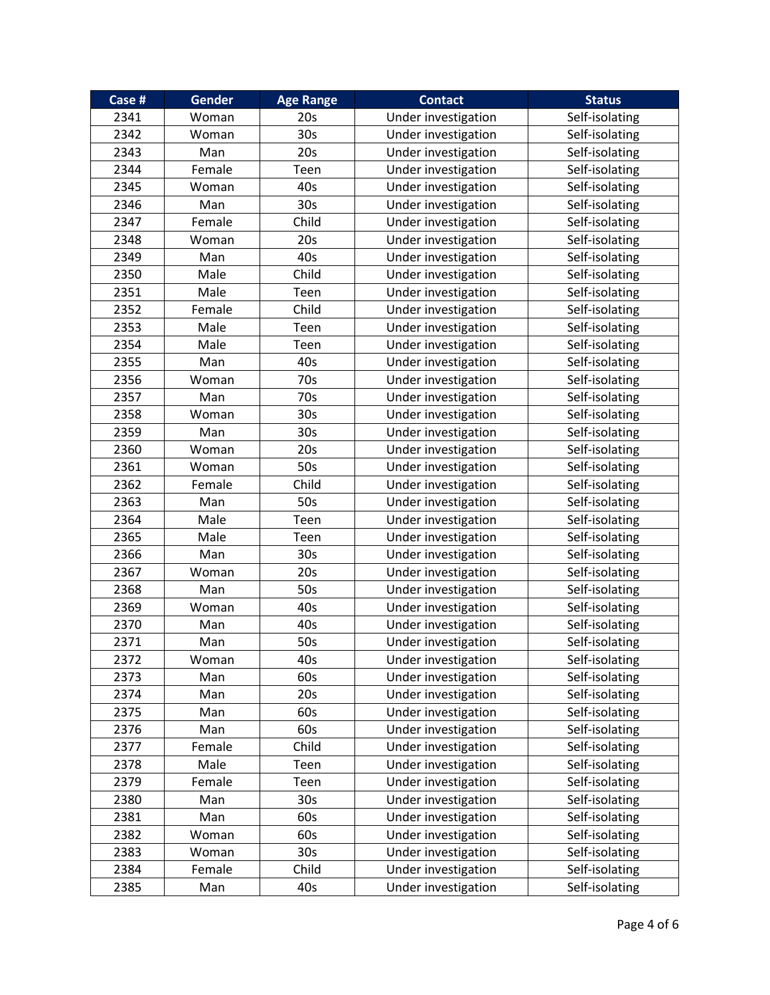| Case # | <b>Gender</b> | <b>Age Range</b> | <b>Contact</b>      | <b>Status</b>  |
|--------|---------------|------------------|---------------------|----------------|
| 2341   | Woman         | 20s              | Under investigation | Self-isolating |
| 2342   | Woman         | 30 <sub>s</sub>  | Under investigation | Self-isolating |
| 2343   | Man           | 20s              | Under investigation | Self-isolating |
| 2344   | Female        | Teen             | Under investigation | Self-isolating |
| 2345   | Woman         | 40s              | Under investigation | Self-isolating |
| 2346   | Man           | 30 <sub>s</sub>  | Under investigation | Self-isolating |
| 2347   | Female        | Child            | Under investigation | Self-isolating |
| 2348   | Woman         | 20s              | Under investigation | Self-isolating |
| 2349   | Man           | 40s              | Under investigation | Self-isolating |
| 2350   | Male          | Child            | Under investigation | Self-isolating |
| 2351   | Male          | Teen             | Under investigation | Self-isolating |
| 2352   | Female        | Child            | Under investigation | Self-isolating |
| 2353   | Male          | Teen             | Under investigation | Self-isolating |
| 2354   | Male          | Teen             | Under investigation | Self-isolating |
| 2355   | Man           | 40s              | Under investigation | Self-isolating |
| 2356   | Woman         | 70s              | Under investigation | Self-isolating |
| 2357   | Man           | 70s              | Under investigation | Self-isolating |
| 2358   | Woman         | 30 <sub>s</sub>  | Under investigation | Self-isolating |
| 2359   | Man           | 30 <sub>s</sub>  | Under investigation | Self-isolating |
| 2360   | Woman         | 20s              | Under investigation | Self-isolating |
| 2361   | Woman         | 50s              | Under investigation | Self-isolating |
| 2362   | Female        | Child            | Under investigation | Self-isolating |
| 2363   | Man           | 50s              | Under investigation | Self-isolating |
| 2364   | Male          | Teen             | Under investigation | Self-isolating |
| 2365   | Male          | Teen             | Under investigation | Self-isolating |
| 2366   | Man           | 30 <sub>s</sub>  | Under investigation | Self-isolating |
| 2367   | Woman         | 20s              | Under investigation | Self-isolating |
| 2368   | Man           | 50s              | Under investigation | Self-isolating |
| 2369   | Woman         | 40s              | Under investigation | Self-isolating |
| 2370   | Man           | 40s              | Under investigation | Self-isolating |
| 2371   | Man           | 50s              | Under investigation | Self-isolating |
| 2372   | Woman         | 40s              | Under investigation | Self-isolating |
| 2373   | Man           | 60s              | Under investigation | Self-isolating |
| 2374   | Man           | 20s              | Under investigation | Self-isolating |
| 2375   | Man           | 60s              | Under investigation | Self-isolating |
| 2376   | Man           | 60s              | Under investigation | Self-isolating |
| 2377   | Female        | Child            | Under investigation | Self-isolating |
| 2378   | Male          | Teen             | Under investigation | Self-isolating |
| 2379   | Female        | Teen             | Under investigation | Self-isolating |
| 2380   | Man           | 30 <sub>s</sub>  | Under investigation | Self-isolating |
| 2381   | Man           | 60s              | Under investigation | Self-isolating |
| 2382   | Woman         | 60s              | Under investigation | Self-isolating |
| 2383   | Woman         | 30 <sub>s</sub>  | Under investigation | Self-isolating |
| 2384   | Female        | Child            | Under investigation | Self-isolating |
| 2385   | Man           | 40s              | Under investigation | Self-isolating |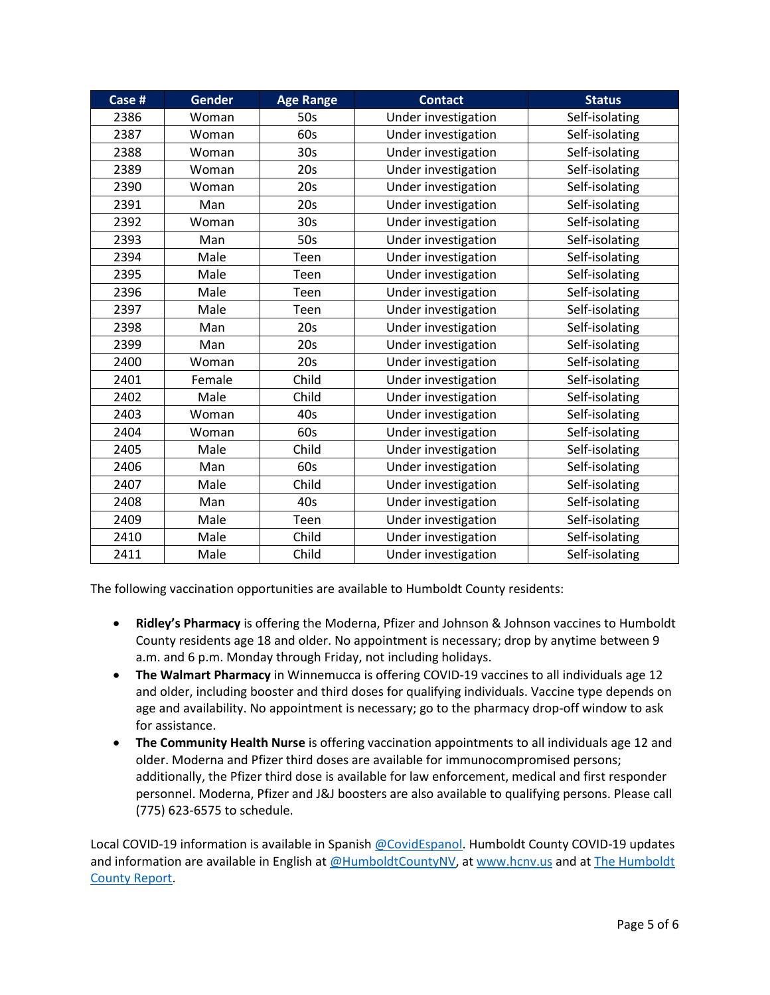| Case # | <b>Gender</b> | <b>Age Range</b> | <b>Contact</b>      | <b>Status</b>  |
|--------|---------------|------------------|---------------------|----------------|
| 2386   | Woman         | 50s              | Under investigation | Self-isolating |
| 2387   | Woman         | 60s              | Under investigation | Self-isolating |
| 2388   | Woman         | 30 <sub>s</sub>  | Under investigation | Self-isolating |
| 2389   | Woman         | 20s              | Under investigation | Self-isolating |
| 2390   | Woman         | 20s              | Under investigation | Self-isolating |
| 2391   | Man           | 20s              | Under investigation | Self-isolating |
| 2392   | Woman         | 30 <sub>s</sub>  | Under investigation | Self-isolating |
| 2393   | Man           | 50s              | Under investigation | Self-isolating |
| 2394   | Male          | Teen             | Under investigation | Self-isolating |
| 2395   | Male          | Teen             | Under investigation | Self-isolating |
| 2396   | Male          | Teen             | Under investigation | Self-isolating |
| 2397   | Male          | Teen             | Under investigation | Self-isolating |
| 2398   | Man           | 20s              | Under investigation | Self-isolating |
| 2399   | Man           | 20s              | Under investigation | Self-isolating |
| 2400   | Woman         | 20s              | Under investigation | Self-isolating |
| 2401   | Female        | Child            | Under investigation | Self-isolating |
| 2402   | Male          | Child            | Under investigation | Self-isolating |
| 2403   | Woman         | 40s              | Under investigation | Self-isolating |
| 2404   | Woman         | 60s              | Under investigation | Self-isolating |
| 2405   | Male          | Child            | Under investigation | Self-isolating |
| 2406   | Man           | 60s              | Under investigation | Self-isolating |
| 2407   | Male          | Child            | Under investigation | Self-isolating |
| 2408   | Man           | 40s              | Under investigation | Self-isolating |
| 2409   | Male          | Teen             | Under investigation | Self-isolating |
| 2410   | Male          | Child            | Under investigation | Self-isolating |
| 2411   | Male          | Child            | Under investigation | Self-isolating |

The following vaccination opportunities are available to Humboldt County residents:

- **Ridley's Pharmacy** is offering the Moderna, Pfizer and Johnson & Johnson vaccines to Humboldt County residents age 18 and older. No appointment is necessary; drop by anytime between 9 a.m. and 6 p.m. Monday through Friday, not including holidays.
- **The Walmart Pharmacy** in Winnemucca is offering COVID-19 vaccines to all individuals age 12 and older, including booster and third doses for qualifying individuals. Vaccine type depends on age and availability. No appointment is necessary; go to the pharmacy drop-off window to ask for assistance.
- **The Community Health Nurse** is offering vaccination appointments to all individuals age 12 and older. Moderna and Pfizer third doses are available for immunocompromised persons; additionally, the Pfizer third dose is available for law enforcement, medical and first responder personnel. Moderna, Pfizer and J&J boosters are also available to qualifying persons. Please call (775) 623-6575 to schedule.

Local COVID-19 information is available in Spanish [@CovidEspanol.](https://www.facebook.com/CovidEspanol) Humboldt County COVID-19 updates and information are available in English at [@HumboldtCountyNV,](https://www.facebook.com/humboldtcountynv) at [www.hcnv.us](http://www.hcnv.us/) and at The Humboldt [County Report.](https://spark.adobe.com/page/llU1h2xbgNKeR/)